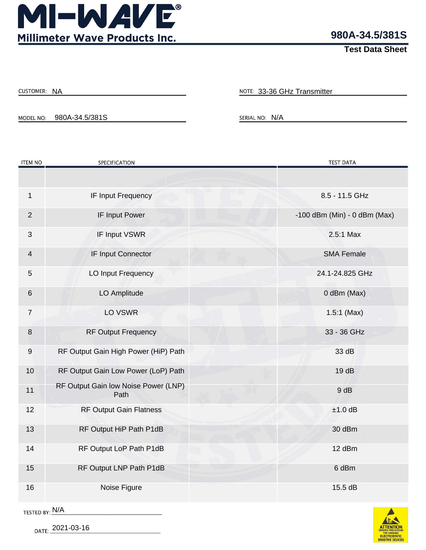

**980A-34.5/381S**

**Test Data Sheet**

| <b>CUSTOMER:</b> | ΝA |
|------------------|----|
|------------------|----|

NOTE: 33-36 GHz Transmitter

MODEL NO: 980A-34.5/381S SERIAL NO: N/A

| <b>ITEM NO</b>   | <b>SPECIFICATION</b>                         | <b>TEST DATA</b>             |
|------------------|----------------------------------------------|------------------------------|
|                  |                                              |                              |
| $\mathbf{1}$     | IF Input Frequency                           | 8.5 - 11.5 GHz               |
| $\overline{2}$   | IF Input Power                               | -100 dBm (Min) - 0 dBm (Max) |
| $\mathfrak{S}$   | IF Input VSWR                                | 2.5:1 Max                    |
| $\overline{4}$   | IF Input Connector                           | <b>SMA Female</b>            |
| 5                | LO Input Frequency                           | 24.1-24.825 GHz              |
| $\,6\,$          | LO Amplitude                                 | 0 dBm (Max)                  |
| $\overline{7}$   | LO VSWR                                      | $1.5:1$ (Max)                |
| 8                | <b>RF Output Frequency</b>                   | 33 - 36 GHz                  |
| $\boldsymbol{9}$ | RF Output Gain High Power (HiP) Path         | 33 dB                        |
| 10               | RF Output Gain Low Power (LoP) Path          | 19dB                         |
| 11               | RF Output Gain low Noise Power (LNP)<br>Path | 9 dB                         |
| 12               | <b>RF Output Gain Flatness</b>               | $±1.0$ dB                    |
| 13               | RF Output HiP Path P1dB                      | 30 dBm                       |
| 14               | RF Output LoP Path P1dB                      | 12 dBm                       |
| 15               | RF Output LNP Path P1dB                      | 6 dBm                        |
| 16               | Noise Figure                                 | 15.5 dB                      |



DATE: 2021-03-16

TESTED BY: N/A